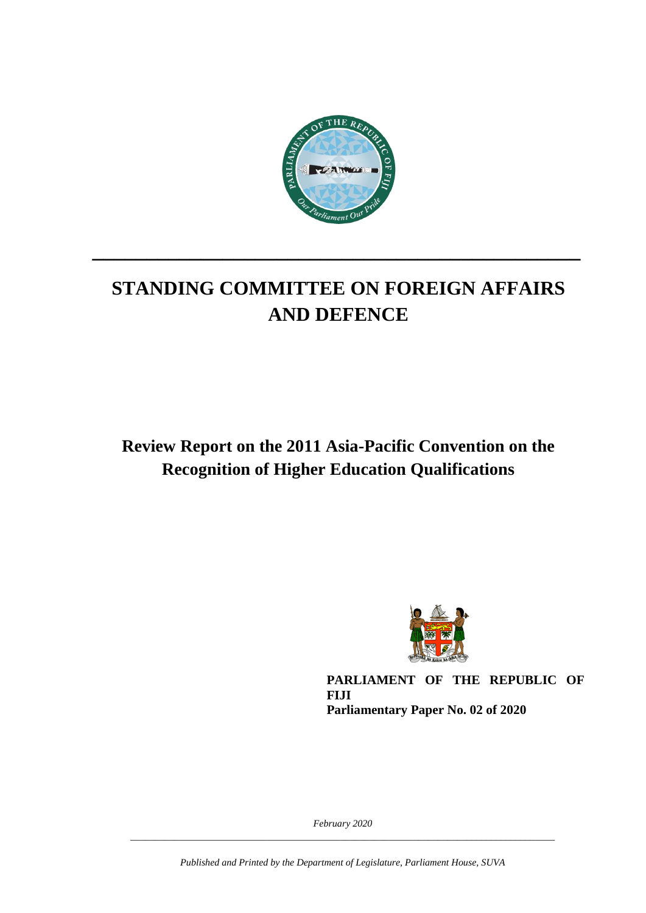

# **STANDING COMMITTEE ON FOREIGN AFFAIRS AND DEFENCE**

**\_\_\_\_\_\_\_\_\_\_\_\_\_\_\_\_\_\_\_\_\_\_\_\_\_\_\_\_\_\_\_\_\_\_\_\_\_\_\_\_\_\_\_\_\_**

**Review Report on the 2011 Asia-Pacific Convention on the Recognition of Higher Education Qualifications** 



**PARLIAMENT OF THE REPUBLIC OF FIJI Parliamentary Paper No. 02 of 2020**

*February 2020 \_\_\_\_\_\_\_\_\_\_\_\_\_\_\_\_\_\_\_\_\_\_\_\_\_\_\_\_\_\_\_\_\_\_\_\_\_\_\_\_\_\_\_\_\_\_\_\_\_\_\_\_\_\_\_\_\_\_\_\_\_\_\_\_\_\_\_\_\_\_\_\_\_\_\_\_\_\_\_\_\_\_\_\_\_\_\_*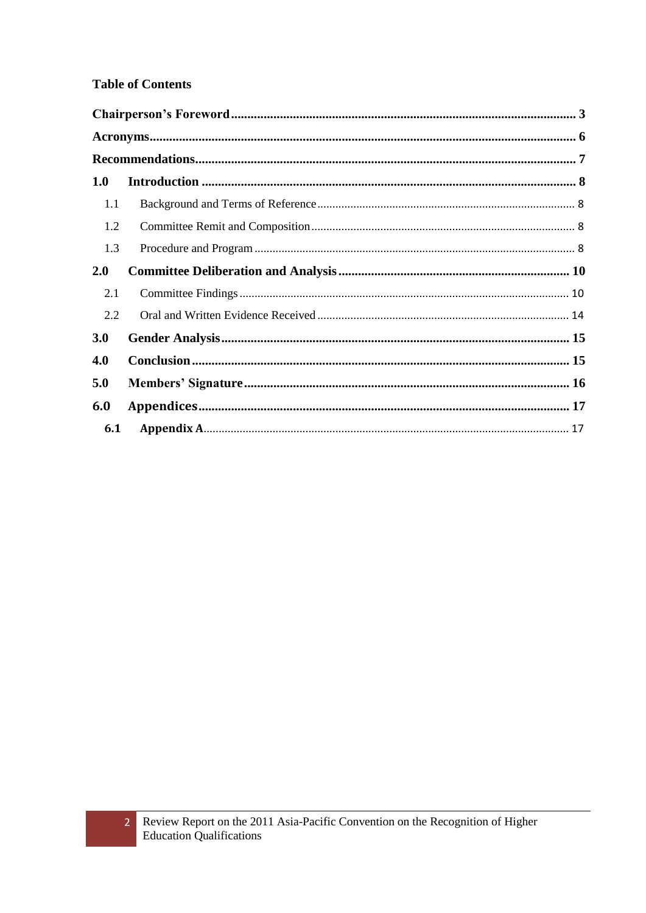#### **Table of Contents**

 $\overline{2}$ 

| 1.0 |  |
|-----|--|
| 1.1 |  |
| 1.2 |  |
| 1.3 |  |
| 2.0 |  |
| 2.1 |  |
| 2.2 |  |
| 3.0 |  |
| 4.0 |  |
| 5.0 |  |
| 6.0 |  |
| 6.1 |  |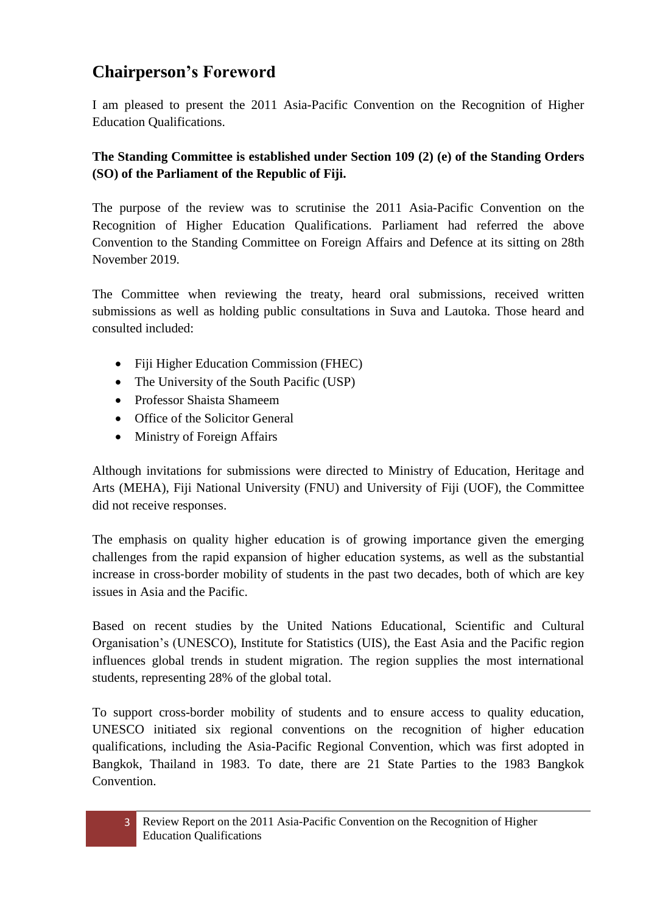## <span id="page-2-0"></span>**Chairperson's Foreword**

I am pleased to present the 2011 Asia-Pacific Convention on the Recognition of Higher Education Qualifications.

#### **The Standing Committee is established under Section 109 (2) (e) of the Standing Orders (SO) of the Parliament of the Republic of Fiji.**

The purpose of the review was to scrutinise the 2011 Asia-Pacific Convention on the Recognition of Higher Education Qualifications. Parliament had referred the above Convention to the Standing Committee on Foreign Affairs and Defence at its sitting on 28th November 2019.

The Committee when reviewing the treaty, heard oral submissions, received written submissions as well as holding public consultations in Suva and Lautoka. Those heard and consulted included:

- Fiji Higher Education Commission (FHEC)
- The University of the South Pacific (USP)
- Professor Shaista Shameem
- Office of the Solicitor General
- Ministry of Foreign Affairs

Although invitations for submissions were directed to Ministry of Education, Heritage and Arts (MEHA), Fiji National University (FNU) and University of Fiji (UOF), the Committee did not receive responses.

The emphasis on quality higher education is of growing importance given the emerging challenges from the rapid expansion of higher education systems, as well as the substantial increase in cross-border mobility of students in the past two decades, both of which are key issues in Asia and the Pacific.

Based on recent studies by the United Nations Educational, Scientific and Cultural Organisation's (UNESCO), Institute for Statistics (UIS), the East Asia and the Pacific region influences global trends in student migration. The region supplies the most international students, representing 28% of the global total.

To support cross-border mobility of students and to ensure access to quality education, UNESCO initiated six regional conventions on the recognition of higher education qualifications, including the Asia-Pacific Regional Convention, which was first adopted in Bangkok, Thailand in 1983. To date, there are 21 State Parties to the 1983 Bangkok Convention.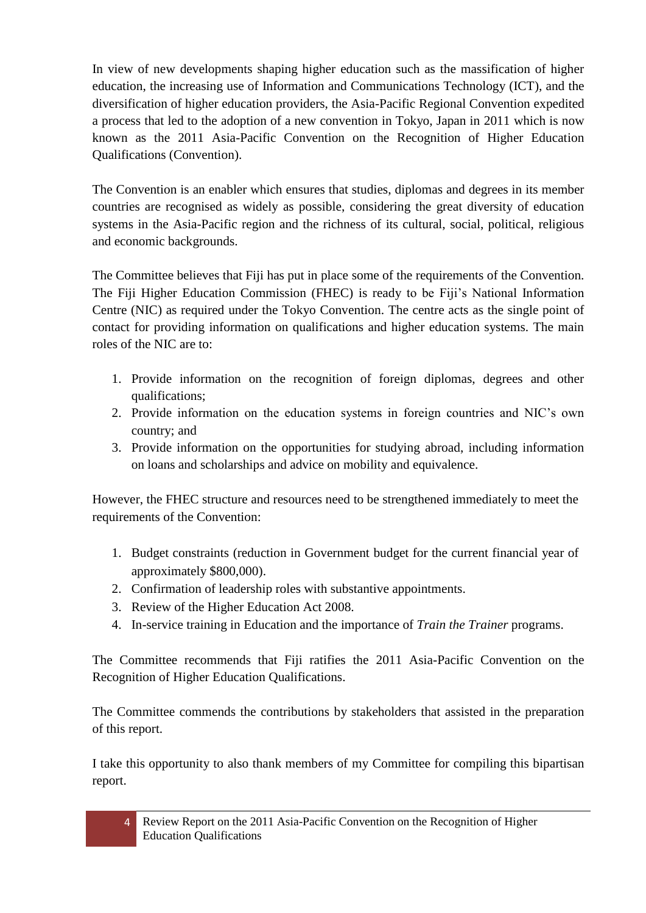In view of new developments shaping higher education such as the massification of higher education, the increasing use of Information and Communications Technology (ICT), and the diversification of higher education providers, the Asia-Pacific Regional Convention expedited a process that led to the adoption of a new convention in Tokyo, Japan in 2011 which is now known as the 2011 Asia-Pacific Convention on the Recognition of Higher Education Qualifications (Convention).

The Convention is an enabler which ensures that studies, diplomas and degrees in its member countries are recognised as widely as possible, considering the great diversity of education systems in the Asia-Pacific region and the richness of its cultural, social, political, religious and economic backgrounds.

The Committee believes that Fiji has put in place some of the requirements of the Convention. The Fiji Higher Education Commission (FHEC) is ready to be Fiji's National Information Centre (NIC) as required under the Tokyo Convention. The centre acts as the single point of contact for providing information on qualifications and higher education systems. The main roles of the NIC are to:

- 1. Provide information on the recognition of foreign diplomas, degrees and other qualifications;
- 2. Provide information on the education systems in foreign countries and NIC's own country; and
- 3. Provide information on the opportunities for studying abroad, including information on loans and scholarships and advice on mobility and equivalence.

However, the FHEC structure and resources need to be strengthened immediately to meet the requirements of the Convention:

- 1. Budget constraints (reduction in Government budget for the current financial year of approximately \$800,000).
- 2. Confirmation of leadership roles with substantive appointments.
- 3. Review of the Higher Education Act 2008.
- 4. In-service training in Education and the importance of *Train the Trainer* programs.

The Committee recommends that Fiji ratifies the 2011 Asia-Pacific Convention on the Recognition of Higher Education Qualifications.

The Committee commends the contributions by stakeholders that assisted in the preparation of this report.

I take this opportunity to also thank members of my Committee for compiling this bipartisan report.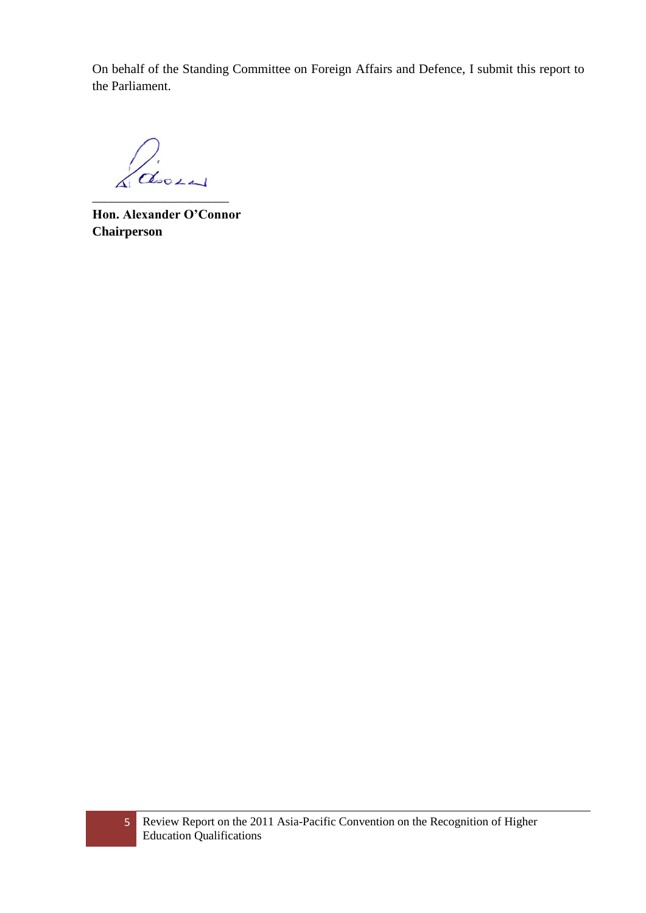On behalf of the Standing Committee on Foreign Affairs and Defence, I submit this report to the Parliament.

House

\_\_\_\_\_\_\_\_\_\_\_\_\_\_\_\_\_\_\_\_\_

**Hon. Alexander O'Connor Chairperson**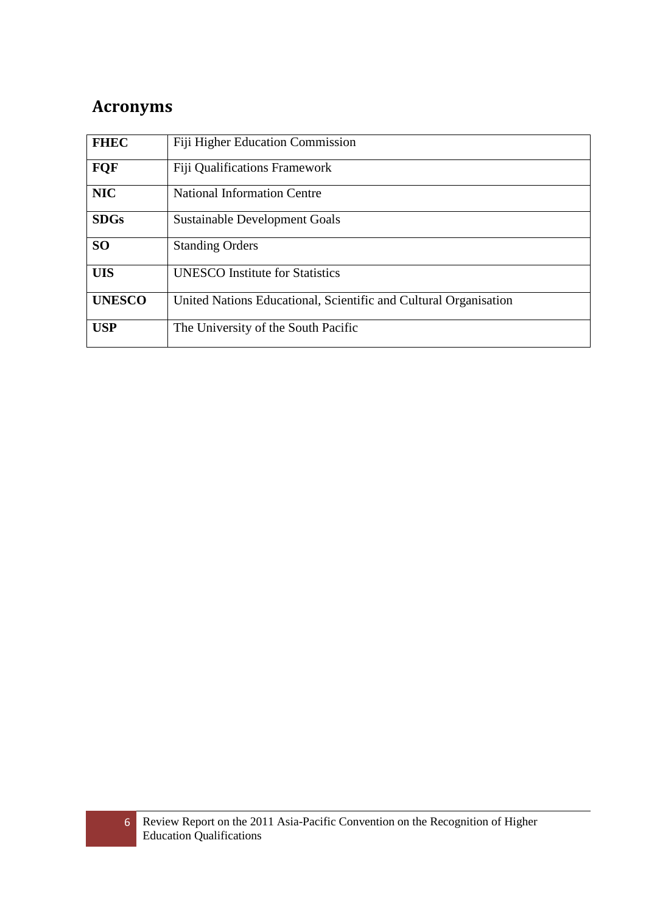# <span id="page-5-0"></span>**Acronyms**

| <b>FHEC</b>   | <b>Fiji Higher Education Commission</b>                          |
|---------------|------------------------------------------------------------------|
| <b>FQF</b>    | <b>Fiji Qualifications Framework</b>                             |
| <b>NIC</b>    | <b>National Information Centre</b>                               |
| <b>SDGs</b>   | <b>Sustainable Development Goals</b>                             |
| <b>SO</b>     | <b>Standing Orders</b>                                           |
| <b>UIS</b>    | <b>UNESCO</b> Institute for Statistics                           |
| <b>UNESCO</b> | United Nations Educational, Scientific and Cultural Organisation |
| <b>USP</b>    | The University of the South Pacific                              |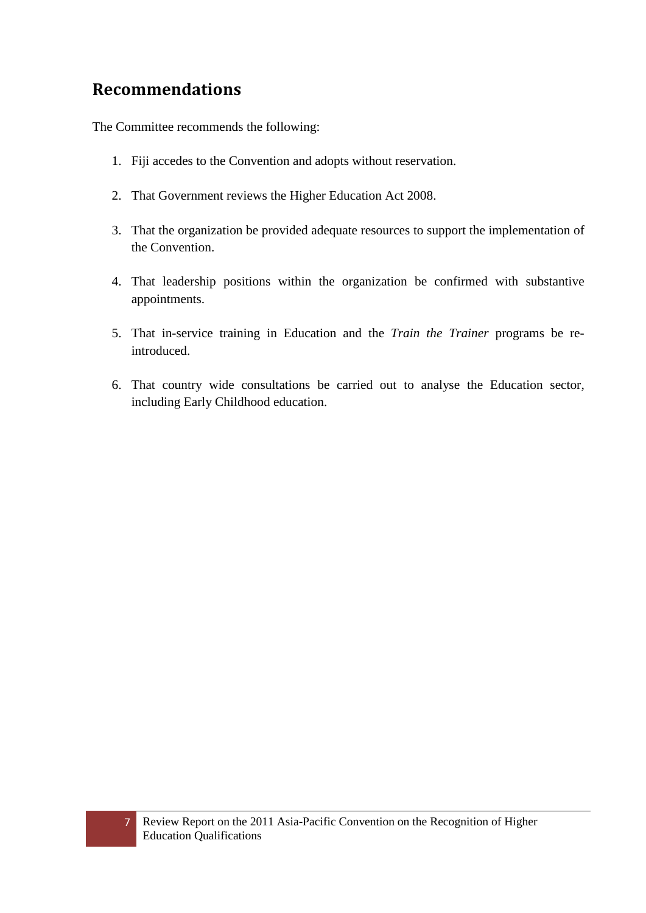### <span id="page-6-0"></span>**Recommendations**

The Committee recommends the following:

- 1. Fiji accedes to the Convention and adopts without reservation.
- 2. That Government reviews the Higher Education Act 2008.
- 3. That the organization be provided adequate resources to support the implementation of the Convention.
- 4. That leadership positions within the organization be confirmed with substantive appointments.
- 5. That in-service training in Education and the *Train the Trainer* programs be reintroduced.
- 6. That country wide consultations be carried out to analyse the Education sector, including Early Childhood education.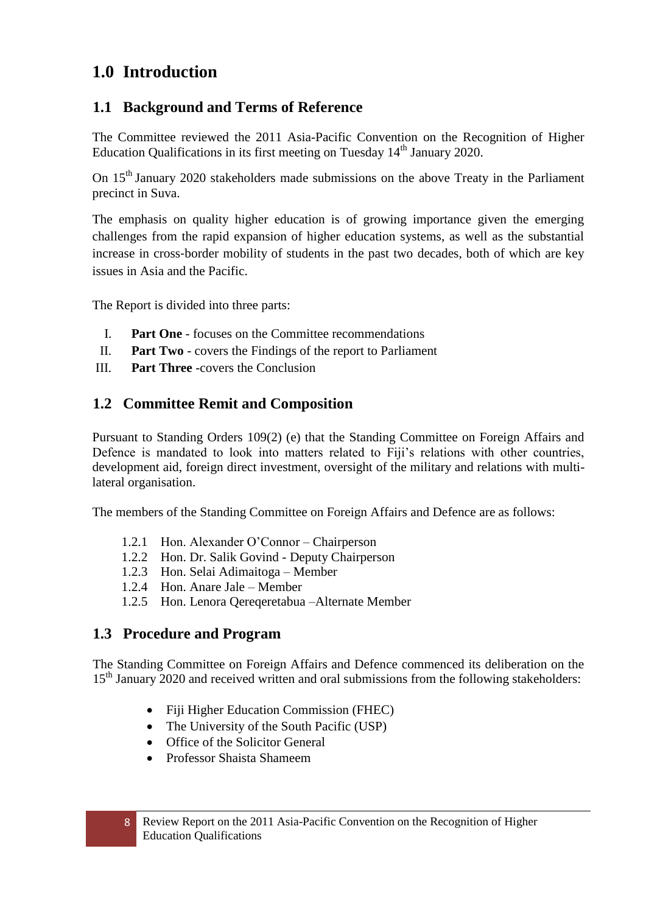### <span id="page-7-0"></span>**1.0 Introduction**

#### <span id="page-7-1"></span>**1.1 Background and Terms of Reference**

The Committee reviewed the 2011 Asia-Pacific Convention on the Recognition of Higher Education Qualifications in its first meeting on Tuesday  $14<sup>th</sup>$  January 2020.

On 15<sup>th</sup> January 2020 stakeholders made submissions on the above Treaty in the Parliament precinct in Suva.

The emphasis on quality higher education is of growing importance given the emerging challenges from the rapid expansion of higher education systems, as well as the substantial increase in cross-border mobility of students in the past two decades, both of which are key issues in Asia and the Pacific.

The Report is divided into three parts:

- I. **Part One** focuses on the Committee recommendations
- II. **Part Two** covers the Findings of the report to Parliament
- III. **Part Three** -covers the Conclusion

#### <span id="page-7-2"></span>**1.2 Committee Remit and Composition**

Pursuant to Standing Orders 109(2) (e) that the Standing Committee on Foreign Affairs and Defence is mandated to look into matters related to Fiji's relations with other countries, development aid, foreign direct investment, oversight of the military and relations with multilateral organisation.

The members of the Standing Committee on Foreign Affairs and Defence are as follows:

- 1.2.1 Hon. Alexander O'Connor Chairperson
- 1.2.2 Hon. Dr. Salik Govind Deputy Chairperson
- 1.2.3 Hon. Selai Adimaitoga Member
- 1.2.4 Hon. Anare Jale Member
- 1.2.5 Hon. Lenora Qereqeretabua –Alternate Member

#### <span id="page-7-3"></span>**1.3 Procedure and Program**

The Standing Committee on Foreign Affairs and Defence commenced its deliberation on the 15<sup>th</sup> January 2020 and received written and oral submissions from the following stakeholders:

- Fiji Higher Education Commission (FHEC)
- The University of the South Pacific (USP)
- Office of the Solicitor General
- Professor Shaista Shameem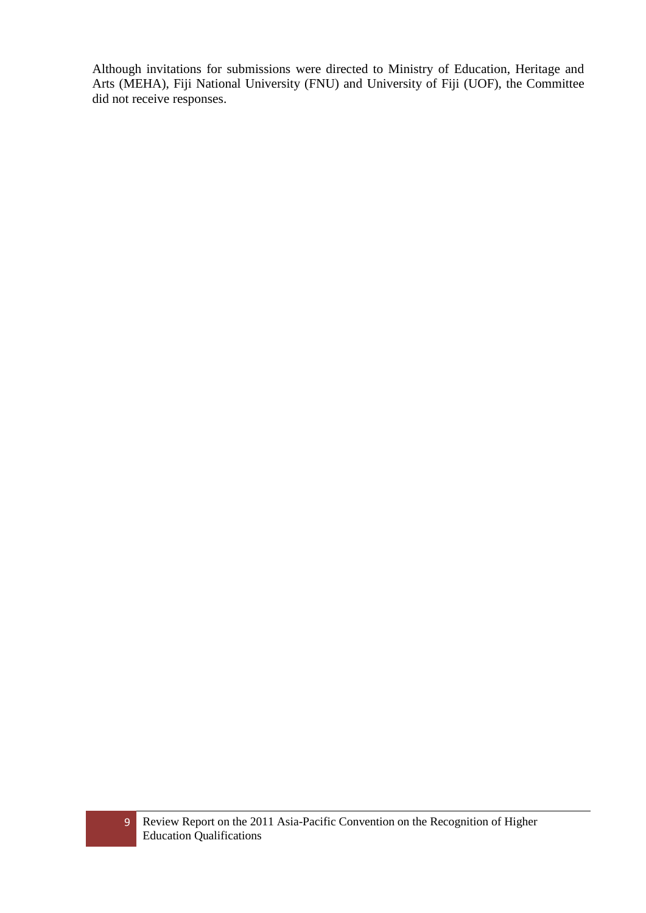Although invitations for submissions were directed to Ministry of Education, Heritage and Arts (MEHA), Fiji National University (FNU) and University of Fiji (UOF), the Committee did not receive responses.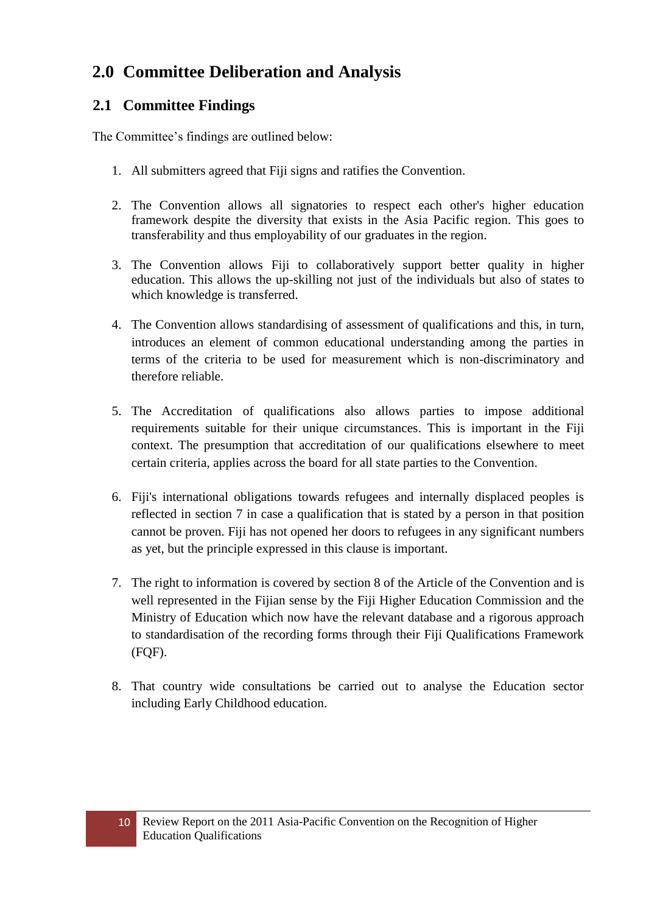# <span id="page-9-0"></span>**2.0 Committee Deliberation and Analysis**

### <span id="page-9-1"></span>**2.1 Committee Findings**

The Committee's findings are outlined below:

- 1. All submitters agreed that Fiji signs and ratifies the Convention.
- 2. The Convention allows all signatories to respect each other's higher education framework despite the diversity that exists in the Asia Pacific region. This goes to transferability and thus employability of our graduates in the region.
- 3. The Convention allows Fiji to collaboratively support better quality in higher education. This allows the up-skilling not just of the individuals but also of states to which knowledge is transferred.
- 4. The Convention allows standardising of assessment of qualifications and this, in turn, introduces an element of common educational understanding among the parties in terms of the criteria to be used for measurement which is non-discriminatory and therefore reliable.
- 5. The Accreditation of qualifications also allows parties to impose additional requirements suitable for their unique circumstances. This is important in the Fiji context. The presumption that accreditation of our qualifications elsewhere to meet certain criteria, applies across the board for all state parties to the Convention.
- 6. Fiji's international obligations towards refugees and internally displaced peoples is reflected in section 7 in case a qualification that is stated by a person in that position cannot be proven. Fiji has not opened her doors to refugees in any significant numbers as yet, but the principle expressed in this clause is important.
- 7. The right to information is covered by section 8 of the Article of the Convention and is well represented in the Fijian sense by the Fiji Higher Education Commission and the Ministry of Education which now have the relevant database and a rigorous approach to standardisation of the recording forms through their Fiji Qualifications Framework (FQF).
- 8. That country wide consultations be carried out to analyse the Education sector including Early Childhood education.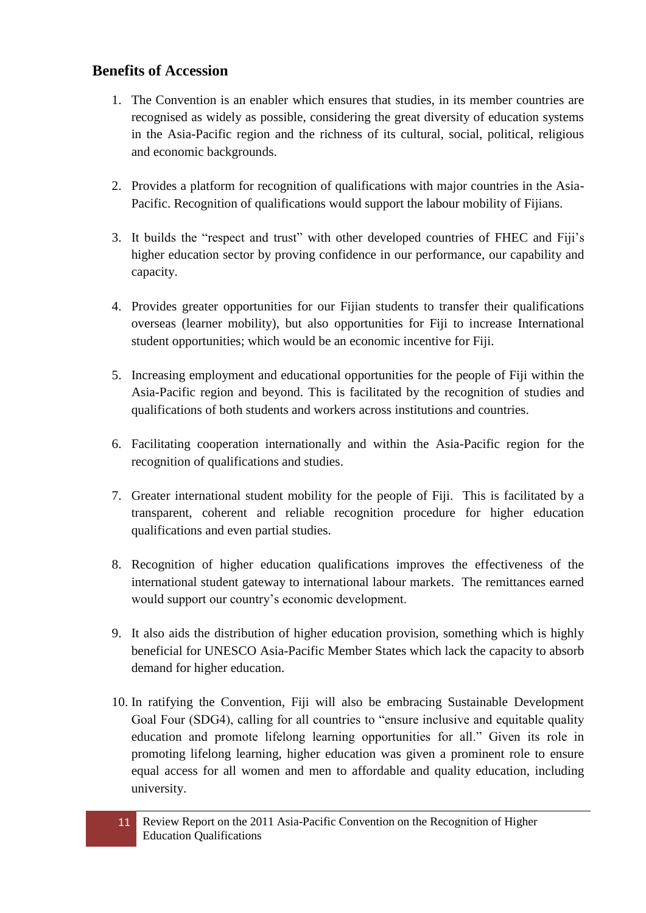#### **Benefits of Accession**

- 1. The Convention is an enabler which ensures that studies, in its member countries are recognised as widely as possible, considering the great diversity of education systems in the Asia-Pacific region and the richness of its cultural, social, political, religious and economic backgrounds.
- 2. Provides a platform for recognition of qualifications with major countries in the Asia-Pacific. Recognition of qualifications would support the labour mobility of Fijians.
- 3. It builds the "respect and trust" with other developed countries of FHEC and Fiji's higher education sector by proving confidence in our performance, our capability and capacity.
- 4. Provides greater opportunities for our Fijian students to transfer their qualifications overseas (learner mobility), but also opportunities for Fiji to increase International student opportunities; which would be an economic incentive for Fiji.
- 5. Increasing employment and educational opportunities for the people of Fiji within the Asia-Pacific region and beyond. This is facilitated by the recognition of studies and qualifications of both students and workers across institutions and countries.
- 6. Facilitating cooperation internationally and within the Asia-Pacific region for the recognition of qualifications and studies.
- 7. Greater international student mobility for the people of Fiji. This is facilitated by a transparent, coherent and reliable recognition procedure for higher education qualifications and even partial studies.
- 8. Recognition of higher education qualifications improves the effectiveness of the international student gateway to international labour markets. The remittances earned would support our country's economic development.
- 9. It also aids the distribution of higher education provision, something which is highly beneficial for UNESCO Asia-Pacific Member States which lack the capacity to absorb demand for higher education.
- 10. In ratifying the Convention, Fiji will also be embracing Sustainable Development Goal Four (SDG4), calling for all countries to "ensure inclusive and equitable quality education and promote lifelong learning opportunities for all." Given its role in promoting lifelong learning, higher education was given a prominent role to ensure equal access for all women and men to affordable and quality education, including university.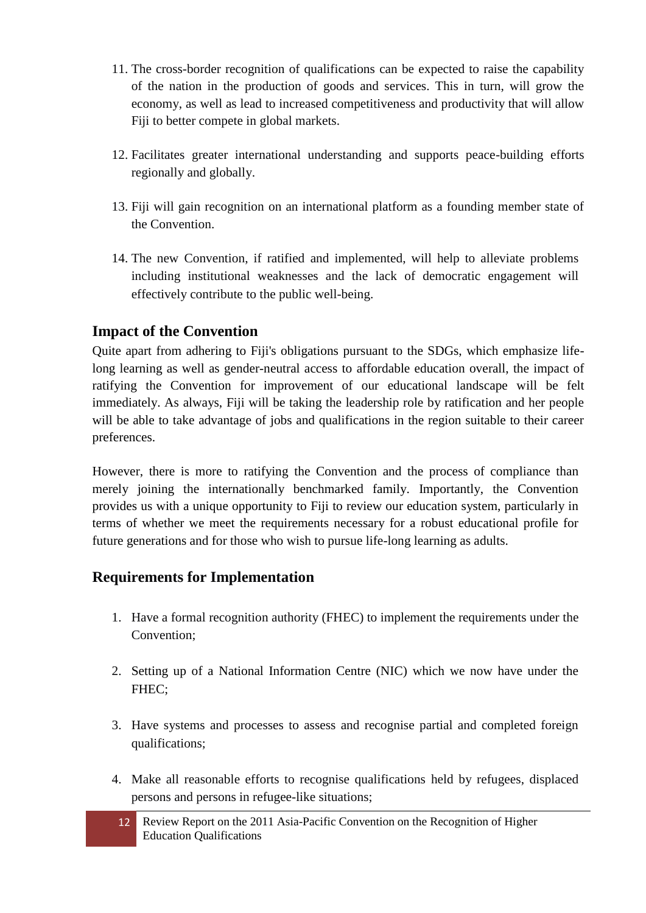- 11. The cross-border recognition of qualifications can be expected to raise the capability of the nation in the production of goods and services. This in turn, will grow the economy, as well as lead to increased competitiveness and productivity that will allow Fiji to better compete in global markets.
- 12. Facilitates greater international understanding and supports peace-building efforts regionally and globally.
- 13. Fiji will gain recognition on an international platform as a founding member state of the Convention.
- 14. The new Convention, if ratified and implemented, will help to alleviate problems including institutional weaknesses and the lack of democratic engagement will effectively contribute to the public well-being.

#### **Impact of the Convention**

Quite apart from adhering to Fiji's obligations pursuant to the SDGs, which emphasize lifelong learning as well as gender-neutral access to affordable education overall, the impact of ratifying the Convention for improvement of our educational landscape will be felt immediately. As always, Fiji will be taking the leadership role by ratification and her people will be able to take advantage of jobs and qualifications in the region suitable to their career preferences.

However, there is more to ratifying the Convention and the process of compliance than merely joining the internationally benchmarked family. Importantly, the Convention provides us with a unique opportunity to Fiji to review our education system, particularly in terms of whether we meet the requirements necessary for a robust educational profile for future generations and for those who wish to pursue life-long learning as adults.

#### **Requirements for Implementation**

- 1. Have a formal recognition authority (FHEC) to implement the requirements under the Convention;
- 2. Setting up of a National Information Centre (NIC) which we now have under the FHEC;
- 3. Have systems and processes to assess and recognise partial and completed foreign qualifications;
- 4. Make all reasonable efforts to recognise qualifications held by refugees, displaced persons and persons in refugee-like situations;
	- 12 Review Report on the 2011 Asia-Pacific Convention on the Recognition of Higher Education Qualifications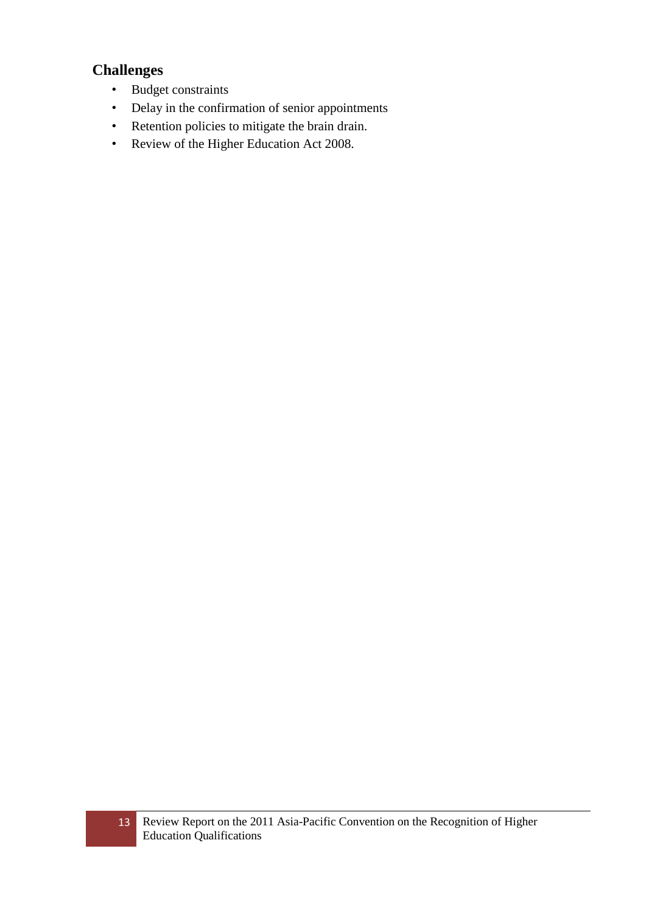### **Challenges**

- Budget constraints
- Delay in the confirmation of senior appointments
- Retention policies to mitigate the brain drain.
- Review of the Higher Education Act 2008.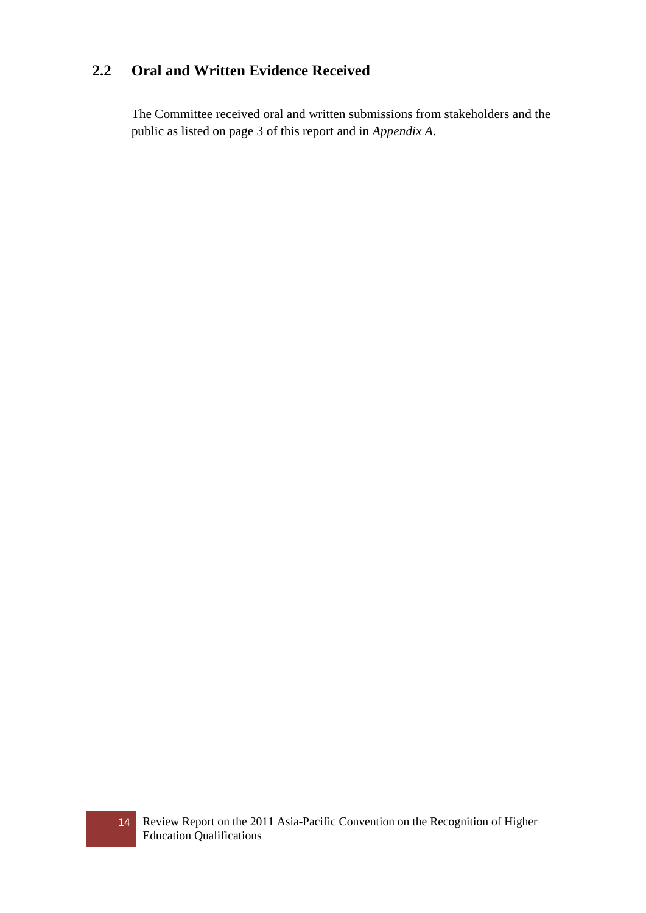### <span id="page-13-0"></span>**2.2 Oral and Written Evidence Received**

The Committee received oral and written submissions from stakeholders and the public as listed on page 3 of this report and in *Appendix A*.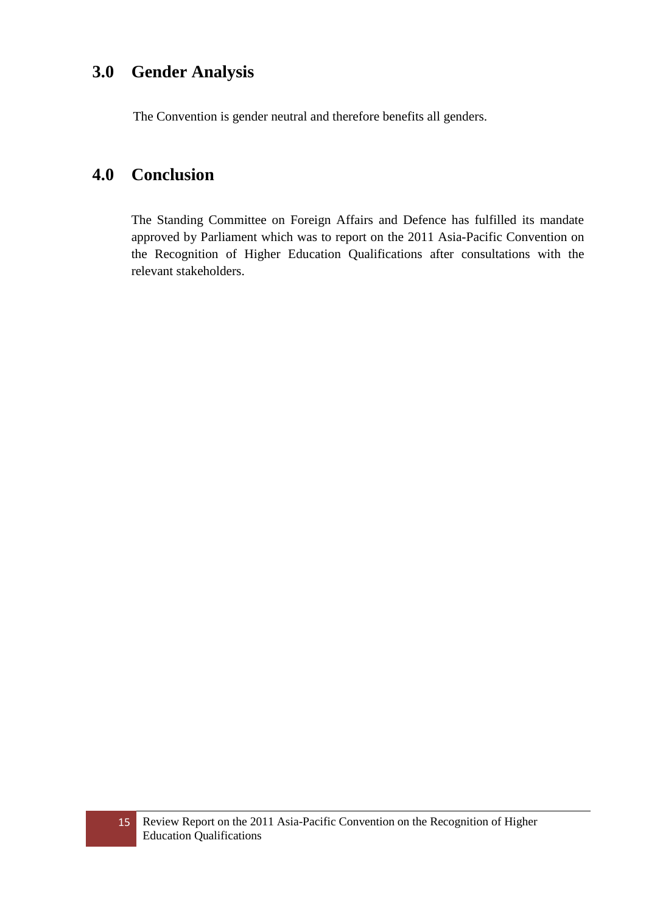### <span id="page-14-0"></span>**3.0 Gender Analysis**

The Convention is gender neutral and therefore benefits all genders.

### <span id="page-14-1"></span>**4.0 Conclusion**

The Standing Committee on Foreign Affairs and Defence has fulfilled its mandate approved by Parliament which was to report on the 2011 Asia-Pacific Convention on the Recognition of Higher Education Qualifications after consultations with the relevant stakeholders.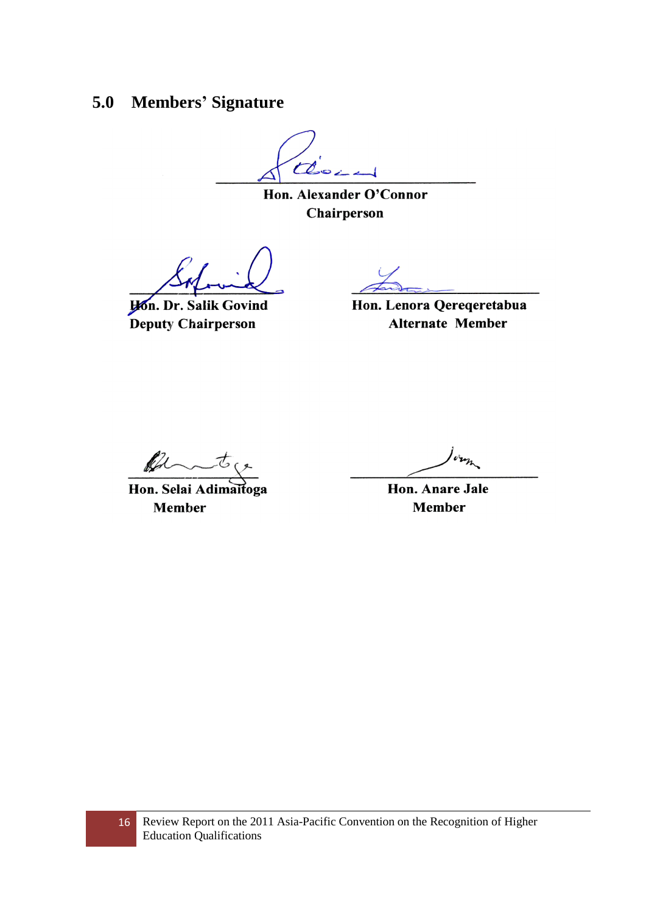### <span id="page-15-0"></span>**5.0 Members' Signature**

 $\mathcal{C}$ 

Hon. Alexander O'Connor Chairperson

**Hon. Dr. Salik Govind** Deputy Chairperson

Hon. Lenora Qereqeretabua **Alternate Member** 

ff

Hon. Selai Adimaitoga **Member** 

**Hon. Anare Jale Member**